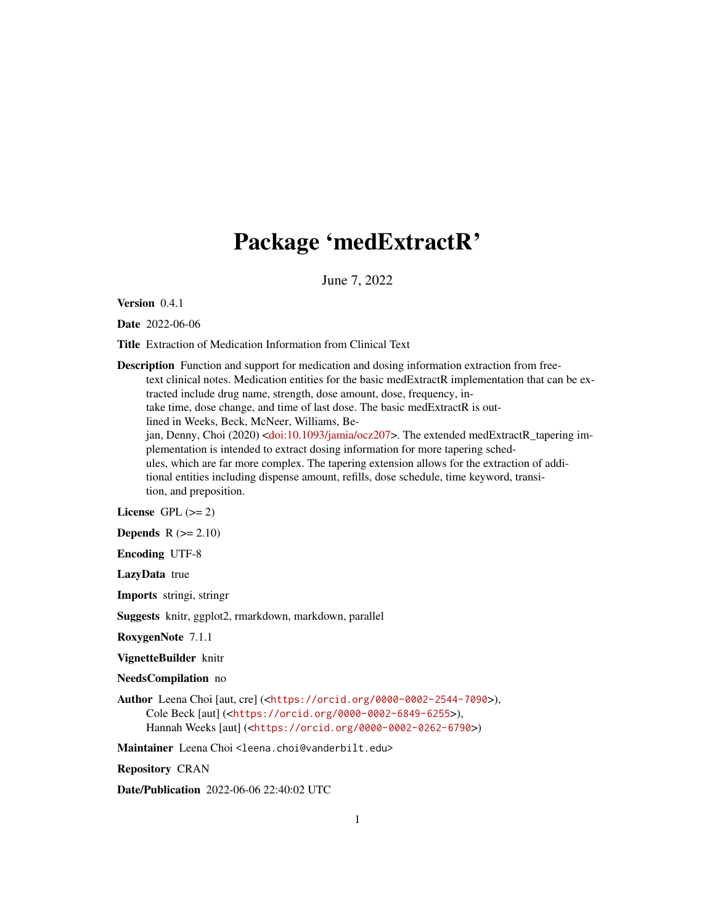# Package 'medExtractR'

June 7, 2022

Version 0.4.1

Date 2022-06-06

Title Extraction of Medication Information from Clinical Text

Description Function and support for medication and dosing information extraction from freetext clinical notes. Medication entities for the basic medExtractR implementation that can be extracted include drug name, strength, dose amount, dose, frequency, intake time, dose change, and time of last dose. The basic medExtractR is outlined in Weeks, Beck, McNeer, Williams, Be-jan, Denny, Choi (2020) [<doi:10.1093/jamia/ocz207>](https://doi.org/10.1093/jamia/ocz207). The extended medExtractR\_tapering implementation is intended to extract dosing information for more tapering schedules, which are far more complex. The tapering extension allows for the extraction of additional entities including dispense amount, refills, dose schedule, time keyword, transition, and preposition.

License GPL  $(>= 2)$ 

Depends  $R (= 2.10)$ 

Encoding UTF-8

LazyData true

Imports stringi, stringr

Suggests knitr, ggplot2, rmarkdown, markdown, parallel

RoxygenNote 7.1.1

VignetteBuilder knitr

NeedsCompilation no

Author Leena Choi [aut, cre] (<<https://orcid.org/0000-0002-2544-7090>>), Cole Beck [aut] (<<https://orcid.org/0000-0002-6849-6255>>), Hannah Weeks [aut] (<<https://orcid.org/0000-0002-0262-6790>>)

Maintainer Leena Choi <leena.choi@vanderbilt.edu>

Repository CRAN

Date/Publication 2022-06-06 22:40:02 UTC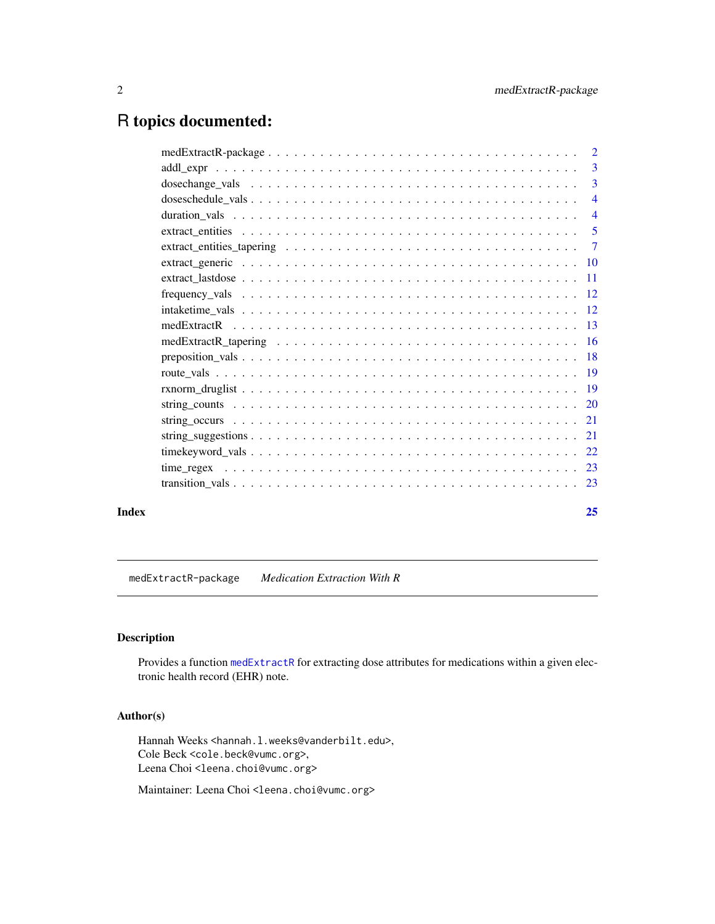# <span id="page-1-0"></span>R topics documented:

| $medExtractR-package \ldots \ldots \ldots \ldots \ldots \ldots \ldots \ldots \ldots \ldots \ldots \ldots \ldots$ | $\overline{2}$  |
|------------------------------------------------------------------------------------------------------------------|-----------------|
|                                                                                                                  | 3               |
|                                                                                                                  | 3               |
|                                                                                                                  | $\overline{4}$  |
|                                                                                                                  | $\overline{4}$  |
|                                                                                                                  | 5               |
|                                                                                                                  | $\overline{7}$  |
|                                                                                                                  |                 |
|                                                                                                                  | $\overline{11}$ |
|                                                                                                                  |                 |
|                                                                                                                  |                 |
|                                                                                                                  | -13             |
|                                                                                                                  |                 |
|                                                                                                                  |                 |
|                                                                                                                  |                 |
|                                                                                                                  |                 |
|                                                                                                                  |                 |
|                                                                                                                  |                 |
|                                                                                                                  |                 |
|                                                                                                                  |                 |
|                                                                                                                  |                 |
|                                                                                                                  |                 |
|                                                                                                                  |                 |

#### **Index** [25](#page-24-0)

medExtractR-package *Medication Extraction With R*

# Description

Provides a function [medExtractR](#page-12-1) for extracting dose attributes for medications within a given electronic health record (EHR) note.

# Author(s)

Hannah Weeks <hannah.l.weeks@vanderbilt.edu>, Cole Beck <cole.beck@vumc.org>, Leena Choi <leena.choi@vumc.org>

Maintainer: Leena Choi <leena.choi@vumc.org>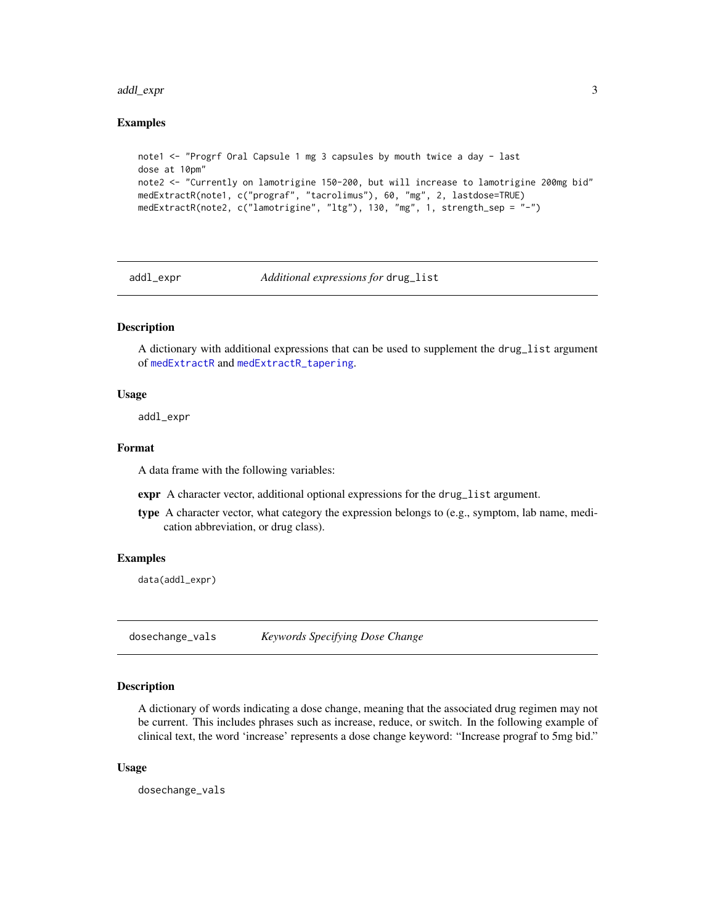#### <span id="page-2-0"></span>addl\_expr 3

#### Examples

```
note1 <- "Progrf Oral Capsule 1 mg 3 capsules by mouth twice a day - last
dose at 10pm"
note2 <- "Currently on lamotrigine 150-200, but will increase to lamotrigine 200mg bid"
medExtractR(note1, c("prograf", "tacrolimus"), 60, "mg", 2, lastdose=TRUE)
medExtractR(note2, c("lamotrigine", "ltg"), 130, "mg", 1, strength_sep = "-")
```
<span id="page-2-1"></span>addl\_expr *Additional expressions for* drug\_list

# Description

A dictionary with additional expressions that can be used to supplement the drug\_list argument of [medExtractR](#page-12-1) and [medExtractR\\_tapering](#page-15-1).

#### Usage

addl\_expr

# Format

A data frame with the following variables:

expr A character vector, additional optional expressions for the drug\_list argument.

type A character vector, what category the expression belongs to (e.g., symptom, lab name, medication abbreviation, or drug class).

#### Examples

data(addl\_expr)

dosechange\_vals *Keywords Specifying Dose Change*

#### Description

A dictionary of words indicating a dose change, meaning that the associated drug regimen may not be current. This includes phrases such as increase, reduce, or switch. In the following example of clinical text, the word 'increase' represents a dose change keyword: "Increase prograf to 5mg bid."

#### Usage

dosechange\_vals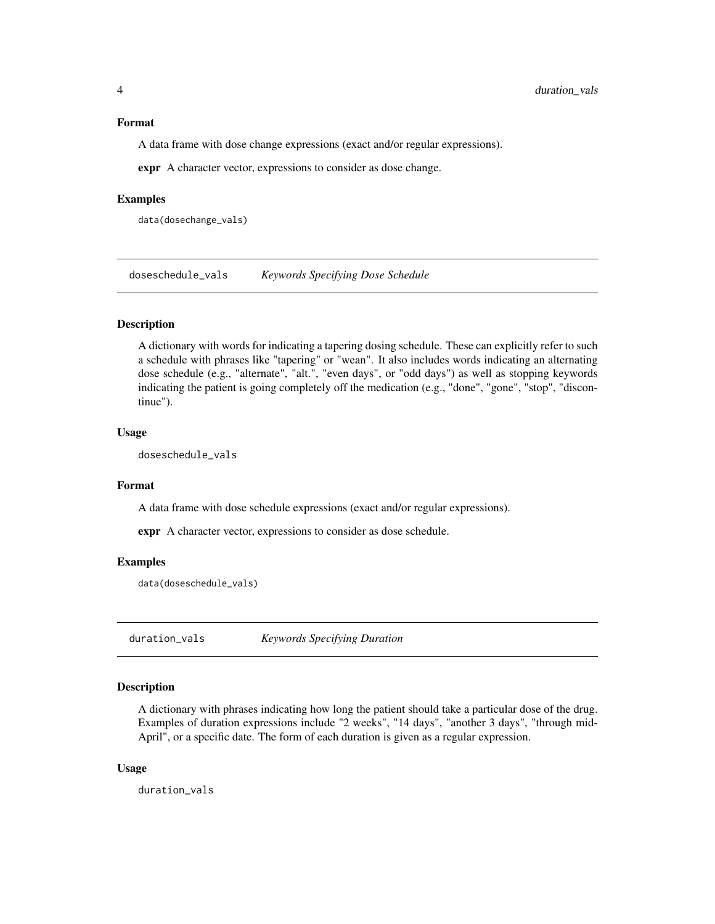#### <span id="page-3-0"></span>Format

A data frame with dose change expressions (exact and/or regular expressions).

expr A character vector, expressions to consider as dose change.

#### Examples

data(dosechange\_vals)

doseschedule\_vals *Keywords Specifying Dose Schedule*

# Description

A dictionary with words for indicating a tapering dosing schedule. These can explicitly refer to such a schedule with phrases like "tapering" or "wean". It also includes words indicating an alternating dose schedule (e.g., "alternate", "alt.", "even days", or "odd days") as well as stopping keywords indicating the patient is going completely off the medication (e.g., "done", "gone", "stop", "discontinue").

#### Usage

doseschedule\_vals

#### Format

A data frame with dose schedule expressions (exact and/or regular expressions).

expr A character vector, expressions to consider as dose schedule.

#### Examples

data(doseschedule\_vals)

duration\_vals *Keywords Specifying Duration*

# Description

A dictionary with phrases indicating how long the patient should take a particular dose of the drug. Examples of duration expressions include "2 weeks", "14 days", "another 3 days", "through mid-April", or a specific date. The form of each duration is given as a regular expression.

#### Usage

duration\_vals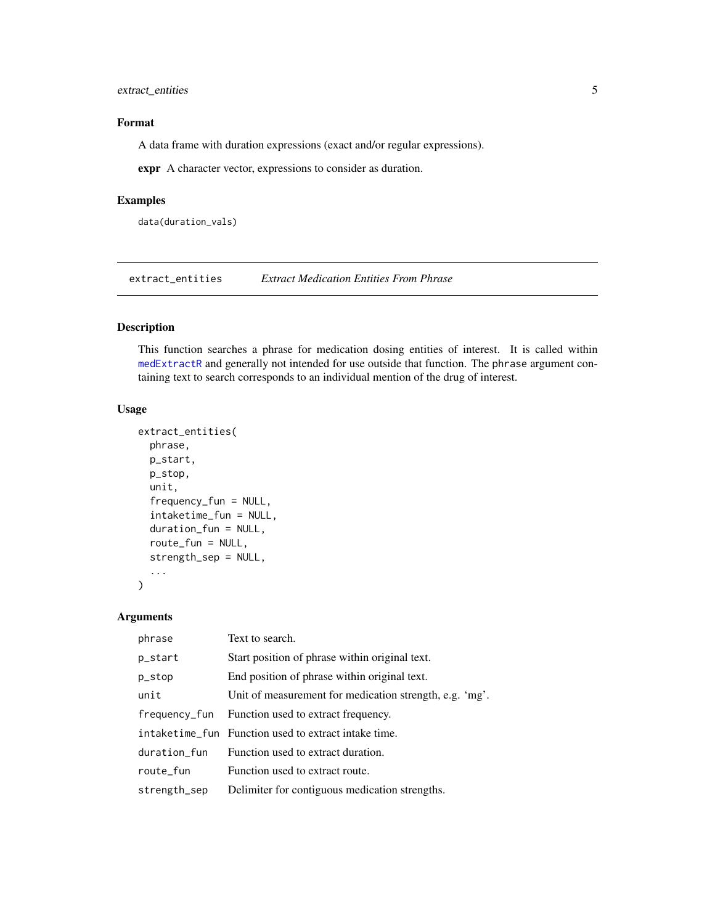# <span id="page-4-0"></span>extract\_entities 5

# Format

A data frame with duration expressions (exact and/or regular expressions).

expr A character vector, expressions to consider as duration.

# Examples

data(duration\_vals)

<span id="page-4-1"></span>extract\_entities *Extract Medication Entities From Phrase*

# Description

This function searches a phrase for medication dosing entities of interest. It is called within [medExtractR](#page-12-1) and generally not intended for use outside that function. The phrase argument containing text to search corresponds to an individual mention of the drug of interest.

#### Usage

```
extract_entities(
  phrase,
  p_start,
  p_stop,
  unit,
  frequency_fun = NULL,
  intaketime_fun = NULL,
  duration_fun = NULL,
  route_fun = NULL,
  strength_sep = NULL,
  ...
\mathcal{L}
```
# Arguments

| phrase        | Text to search.                                         |
|---------------|---------------------------------------------------------|
| p_start       | Start position of phrase within original text.          |
| p_stop        | End position of phrase within original text.            |
| unit          | Unit of measurement for medication strength, e.g. 'mg'. |
| frequency_fun | Function used to extract frequency.                     |
|               | intaketime_fun Function used to extract intake time.    |
| duration_fun  | Function used to extract duration.                      |
| route_fun     | Function used to extract route.                         |
| strength_sep  | Delimiter for contiguous medication strengths.          |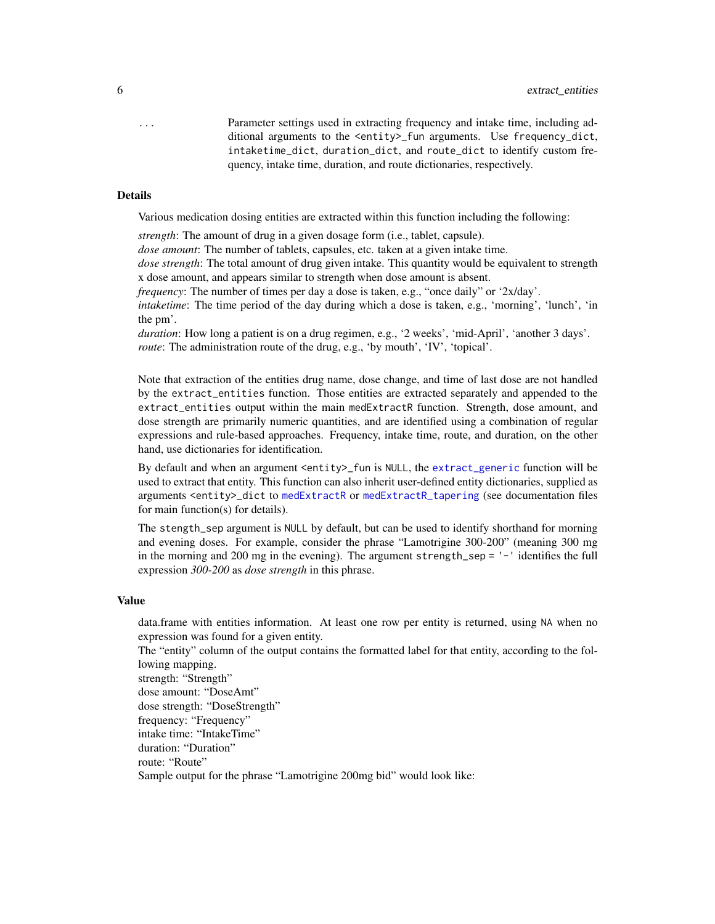<span id="page-5-0"></span>... Parameter settings used in extracting frequency and intake time, including additional arguments to the <entity>\_fun arguments. Use frequency\_dict, intaketime\_dict, duration\_dict, and route\_dict to identify custom frequency, intake time, duration, and route dictionaries, respectively.

#### Details

Various medication dosing entities are extracted within this function including the following:

*strength*: The amount of drug in a given dosage form (i.e., tablet, capsule).

*dose amount*: The number of tablets, capsules, etc. taken at a given intake time.

*dose strength*: The total amount of drug given intake. This quantity would be equivalent to strength x dose amount, and appears similar to strength when dose amount is absent.

*frequency*: The number of times per day a dose is taken, e.g., "once daily" or '2x/day'.

*intaketime*: The time period of the day during which a dose is taken, e.g., 'morning', 'lunch', 'in the pm'.

*duration*: How long a patient is on a drug regimen, e.g., '2 weeks', 'mid-April', 'another 3 days'. *route*: The administration route of the drug, e.g., 'by mouth', 'IV', 'topical'.

Note that extraction of the entities drug name, dose change, and time of last dose are not handled by the extract\_entities function. Those entities are extracted separately and appended to the extract\_entities output within the main medExtractR function. Strength, dose amount, and dose strength are primarily numeric quantities, and are identified using a combination of regular expressions and rule-based approaches. Frequency, intake time, route, and duration, on the other hand, use dictionaries for identification.

By default and when an argument <entity>\_fun is NULL, the [extract\\_generic](#page-9-1) function will be used to extract that entity. This function can also inherit user-defined entity dictionaries, supplied as arguments <entity>\_dict to [medExtractR](#page-12-1) or [medExtractR\\_tapering](#page-15-1) (see documentation files for main function(s) for details).

The stength\_sep argument is NULL by default, but can be used to identify shorthand for morning and evening doses. For example, consider the phrase "Lamotrigine 300-200" (meaning 300 mg in the morning and 200 mg in the evening). The argument strength\_sep = '-' identifies the full expression *300-200* as *dose strength* in this phrase.

#### Value

data.frame with entities information. At least one row per entity is returned, using NA when no expression was found for a given entity.

The "entity" column of the output contains the formatted label for that entity, according to the following mapping. strength: "Strength"

dose amount: "DoseAmt"

dose strength: "DoseStrength"

frequency: "Frequency"

intake time: "IntakeTime"

duration: "Duration"

route: "Route"

Sample output for the phrase "Lamotrigine 200mg bid" would look like: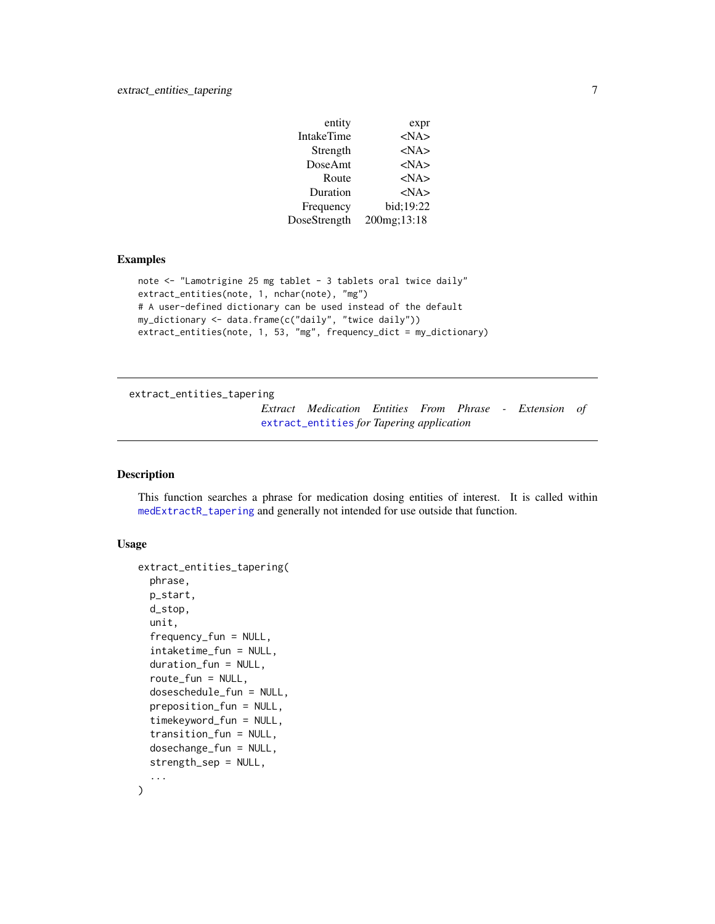<span id="page-6-0"></span>

| entity            | expr        |
|-------------------|-------------|
| <b>IntakeTime</b> | $<$ NA $>$  |
| Strength          | $<$ NA $>$  |
| DoseAmt           | $<$ NA $>$  |
| Route             | $<$ NA $>$  |
| Duration          | $<$ NA $>$  |
| Frequency         | bid:19:22   |
| DoseStrength      | 200mg;13:18 |

# Examples

```
note <- "Lamotrigine 25 mg tablet - 3 tablets oral twice daily"
extract_entities(note, 1, nchar(note), "mg")
# A user-defined dictionary can be used instead of the default
my_dictionary <- data.frame(c("daily", "twice daily"))
extract_entities(note, 1, 53, "mg", frequency_dict = my_dictionary)
```
<span id="page-6-1"></span>extract\_entities\_tapering

*Extract Medication Entities From Phrase - Extension of* [extract\\_entities](#page-4-1) *for Tapering application*

# Description

This function searches a phrase for medication dosing entities of interest. It is called within [medExtractR\\_tapering](#page-15-1) and generally not intended for use outside that function.

#### Usage

```
extract_entities_tapering(
  phrase,
 p_start,
  d_stop,
  unit,
  frequency_fun = NULL,
  intaketime_fun = NULL,
  duration_fun = NULL,
  route_fun = NULL,
  doseschedule_fun = NULL,
  preposition_fun = NULL,
  timekeyword_fun = NULL,
  transition_fun = NULL,
  dosechange_fun = NULL,
  strength_sep = NULL,
  ...
)
```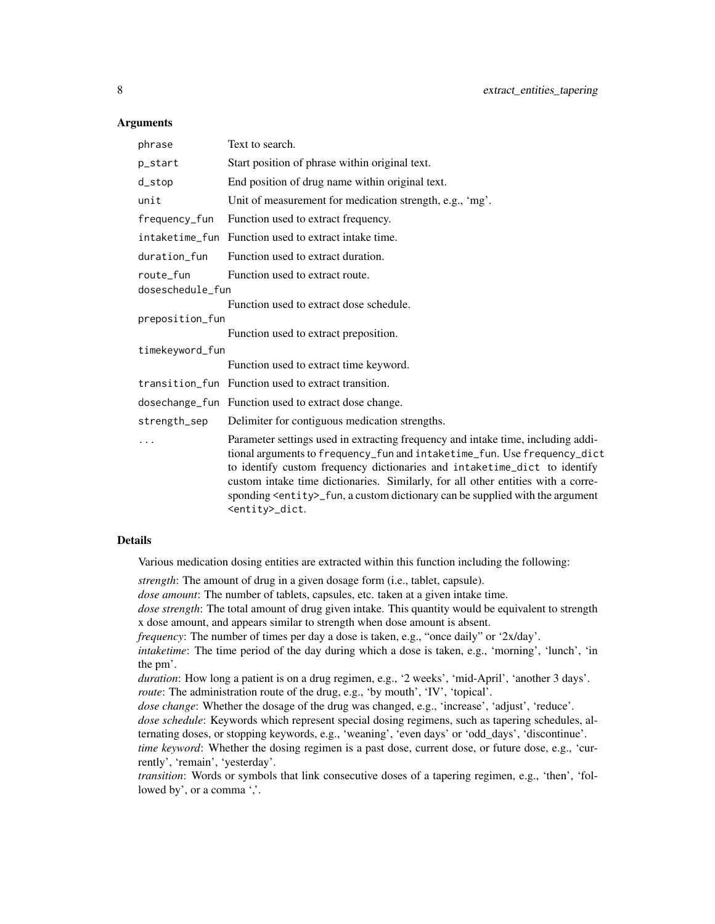#### **Arguments**

| phrase           | Text to search.                                                                                                                                                                                                                                                                                                                                                                                                                                    |
|------------------|----------------------------------------------------------------------------------------------------------------------------------------------------------------------------------------------------------------------------------------------------------------------------------------------------------------------------------------------------------------------------------------------------------------------------------------------------|
| p_start          | Start position of phrase within original text.                                                                                                                                                                                                                                                                                                                                                                                                     |
| d_stop           | End position of drug name within original text.                                                                                                                                                                                                                                                                                                                                                                                                    |
| unit             | Unit of measurement for medication strength, e.g., 'mg'.                                                                                                                                                                                                                                                                                                                                                                                           |
| frequency_fun    | Function used to extract frequency.                                                                                                                                                                                                                                                                                                                                                                                                                |
| intaketime fun   | Function used to extract intake time.                                                                                                                                                                                                                                                                                                                                                                                                              |
| duration fun     | Function used to extract duration.                                                                                                                                                                                                                                                                                                                                                                                                                 |
| route fun        | Function used to extract route.                                                                                                                                                                                                                                                                                                                                                                                                                    |
| doseschedule_fun |                                                                                                                                                                                                                                                                                                                                                                                                                                                    |
|                  | Function used to extract dose schedule.                                                                                                                                                                                                                                                                                                                                                                                                            |
| preposition_fun  |                                                                                                                                                                                                                                                                                                                                                                                                                                                    |
|                  | Function used to extract preposition.                                                                                                                                                                                                                                                                                                                                                                                                              |
| timekeyword_fun  |                                                                                                                                                                                                                                                                                                                                                                                                                                                    |
|                  | Function used to extract time keyword.                                                                                                                                                                                                                                                                                                                                                                                                             |
|                  | transition fun Function used to extract transition.                                                                                                                                                                                                                                                                                                                                                                                                |
|                  | dosechange_fun Function used to extract dose change.                                                                                                                                                                                                                                                                                                                                                                                               |
| strength_sep     | Delimiter for contiguous medication strengths.                                                                                                                                                                                                                                                                                                                                                                                                     |
|                  | Parameter settings used in extracting frequency and intake time, including addi-<br>tional arguments to frequency_fun and intaketime_fun. Use frequency_dict<br>to identify custom frequency dictionaries and intaketime_dict to identify<br>custom intake time dictionaries. Similarly, for all other entities with a corre-<br>sponding <entity>_fun, a custom dictionary can be supplied with the argument<br/><entity>_dict.</entity></entity> |

# Details

Various medication dosing entities are extracted within this function including the following:

*strength*: The amount of drug in a given dosage form (i.e., tablet, capsule).

*dose amount*: The number of tablets, capsules, etc. taken at a given intake time.

*dose strength*: The total amount of drug given intake. This quantity would be equivalent to strength x dose amount, and appears similar to strength when dose amount is absent.

*frequency*: The number of times per day a dose is taken, e.g., "once daily" or '2x/day'.

*intaketime*: The time period of the day during which a dose is taken, e.g., 'morning', 'lunch', 'in the pm'.

*duration*: How long a patient is on a drug regimen, e.g., '2 weeks', 'mid-April', 'another 3 days'. *route*: The administration route of the drug, e.g., 'by mouth', 'IV', 'topical'.

*dose change*: Whether the dosage of the drug was changed, e.g., 'increase', 'adjust', 'reduce'.

*dose schedule*: Keywords which represent special dosing regimens, such as tapering schedules, alternating doses, or stopping keywords, e.g., 'weaning', 'even days' or 'odd\_days', 'discontinue'.

*time keyword*: Whether the dosing regimen is a past dose, current dose, or future dose, e.g., 'currently', 'remain', 'yesterday'.

*transition*: Words or symbols that link consecutive doses of a tapering regimen, e.g., 'then', 'followed by', or a comma ','.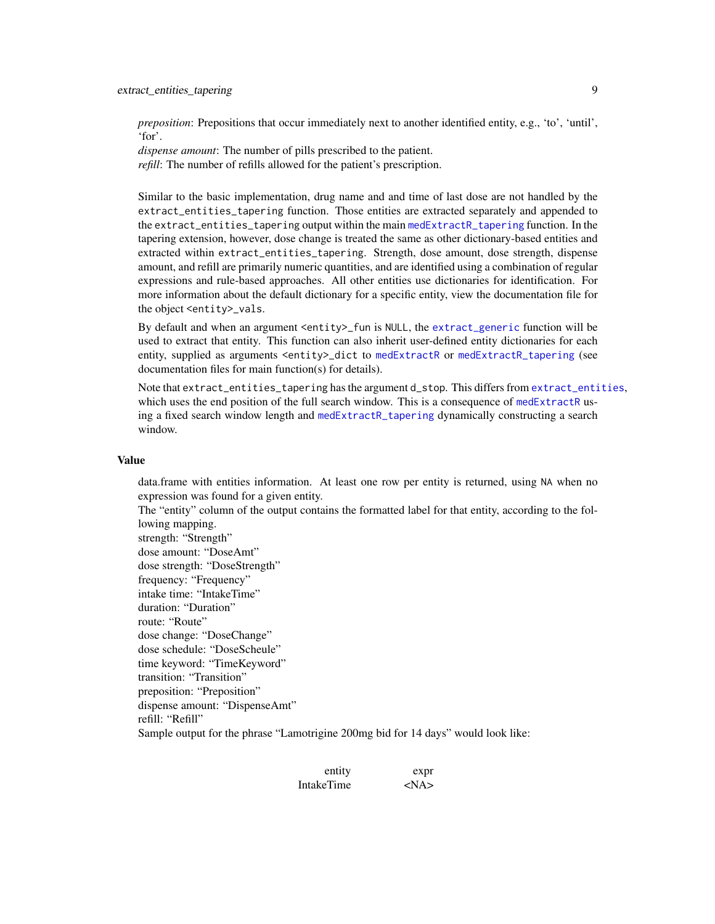<span id="page-8-0"></span>*preposition*: Prepositions that occur immediately next to another identified entity, e.g., 'to', 'until', 'for'.

*dispense amount*: The number of pills prescribed to the patient.

*refill*: The number of refills allowed for the patient's prescription.

Similar to the basic implementation, drug name and and time of last dose are not handled by the extract\_entities\_tapering function. Those entities are extracted separately and appended to the extract\_entities\_tapering output within the main [medExtractR\\_tapering](#page-15-1) function. In the tapering extension, however, dose change is treated the same as other dictionary-based entities and extracted within extract\_entities\_tapering. Strength, dose amount, dose strength, dispense amount, and refill are primarily numeric quantities, and are identified using a combination of regular expressions and rule-based approaches. All other entities use dictionaries for identification. For more information about the default dictionary for a specific entity, view the documentation file for the object <entity>\_vals.

By default and when an argument <entity>\_fun is NULL, the [extract\\_generic](#page-9-1) function will be used to extract that entity. This function can also inherit user-defined entity dictionaries for each entity, supplied as arguments <entity>\_dict to [medExtractR](#page-12-1) or [medExtractR\\_tapering](#page-15-1) (see documentation files for main function(s) for details).

Note that extract\_entities\_tapering has the argument d\_stop. This differs from [extract\\_entities](#page-4-1), which uses the end position of the full search window. This is a consequence of [medExtractR](#page-12-1) using a fixed search window length and [medExtractR\\_tapering](#page-15-1) dynamically constructing a search window.

#### Value

data.frame with entities information. At least one row per entity is returned, using NA when no expression was found for a given entity.

The "entity" column of the output contains the formatted label for that entity, according to the following mapping.

strength: "Strength" dose amount: "DoseAmt" dose strength: "DoseStrength" frequency: "Frequency" intake time: "IntakeTime" duration: "Duration" route: "Route" dose change: "DoseChange" dose schedule: "DoseScheule" time keyword: "TimeKeyword" transition: "Transition" preposition: "Preposition" dispense amount: "DispenseAmt" refill: "Refill" Sample output for the phrase "Lamotrigine 200mg bid for 14 days" would look like:

> entity expr IntakeTime <NA>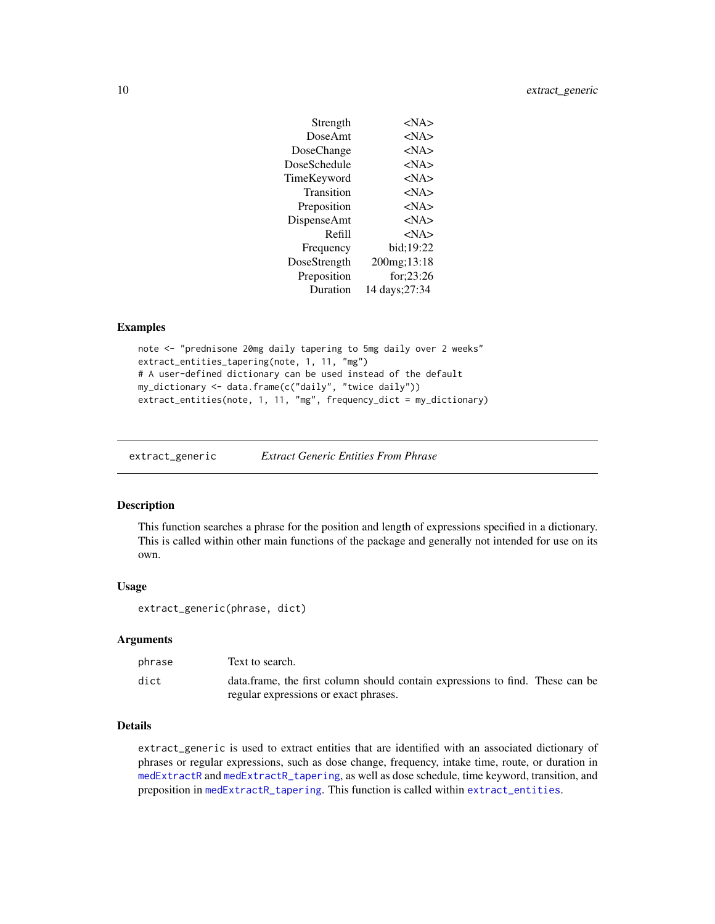<span id="page-9-0"></span>

| Strength     | $<$ NA $>$     |
|--------------|----------------|
| DoseAmt      | $<$ NA $>$     |
| DoseChange   | $<$ NA $>$     |
| DoseSchedule | $<$ NA $>$     |
| TimeKeyword  | $<$ NA $>$     |
| Transition   | $<$ NA $>$     |
| Preposition  | $<$ NA $>$     |
| DispenseAmt  | $<$ NA $>$     |
| Refill       | $<$ NA $>$     |
| Frequency    | bid;19:22      |
| DoseStrength | 200mg;13:18    |
| Preposition  | for: $23:26$   |
| Duration     | 14 days: 27:34 |

#### Examples

```
note <- "prednisone 20mg daily tapering to 5mg daily over 2 weeks"
extract_entities_tapering(note, 1, 11, "mg")
# A user-defined dictionary can be used instead of the default
my_dictionary <- data.frame(c("daily", "twice daily"))
extract_entities(note, 1, 11, "mg", frequency_dict = my_dictionary)
```
<span id="page-9-1"></span>extract\_generic *Extract Generic Entities From Phrase*

# Description

This function searches a phrase for the position and length of expressions specified in a dictionary. This is called within other main functions of the package and generally not intended for use on its own.

#### Usage

extract\_generic(phrase, dict)

#### Arguments

| phrase | Text to search.                                                               |
|--------|-------------------------------------------------------------------------------|
| dict   | data.frame, the first column should contain expressions to find. These can be |
|        | regular expressions or exact phrases.                                         |

# Details

extract\_generic is used to extract entities that are identified with an associated dictionary of phrases or regular expressions, such as dose change, frequency, intake time, route, or duration in [medExtractR](#page-12-1) and [medExtractR\\_tapering](#page-15-1), as well as dose schedule, time keyword, transition, and preposition in [medExtractR\\_tapering](#page-15-1). This function is called within [extract\\_entities](#page-4-1).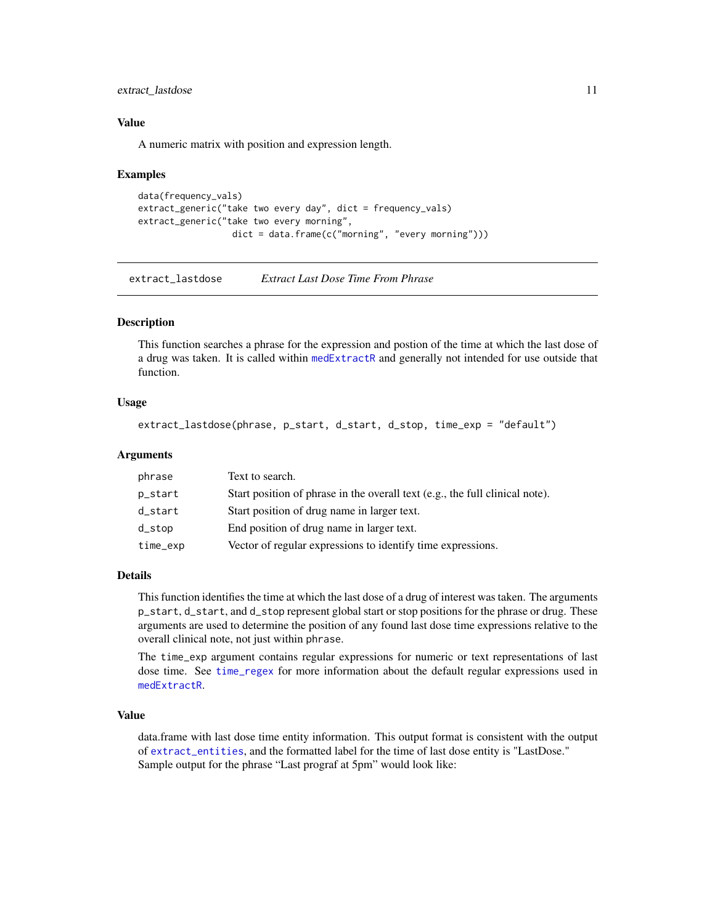# <span id="page-10-0"></span>extract\_lastdose 11

# Value

A numeric matrix with position and expression length.

#### Examples

```
data(frequency_vals)
extract_generic("take two every day", dict = frequency_vals)
extract_generic("take two every morning",
                  dict = data.frame(c("morning", "every morning")))
```
<span id="page-10-1"></span>extract\_lastdose *Extract Last Dose Time From Phrase*

#### Description

This function searches a phrase for the expression and postion of the time at which the last dose of a drug was taken. It is called within [medExtractR](#page-12-1) and generally not intended for use outside that function.

#### Usage

```
extract_lastdose(phrase, p_start, d_start, d_stop, time_exp = "default")
```
#### Arguments

| phrase    | Text to search.                                                              |
|-----------|------------------------------------------------------------------------------|
| p_start   | Start position of phrase in the overall text (e.g., the full clinical note). |
| d_start   | Start position of drug name in larger text.                                  |
| $d\_stop$ | End position of drug name in larger text.                                    |
| time_exp  | Vector of regular expressions to identify time expressions.                  |

#### Details

This function identifies the time at which the last dose of a drug of interest was taken. The arguments p\_start, d\_start, and d\_stop represent global start or stop positions for the phrase or drug. These arguments are used to determine the position of any found last dose time expressions relative to the overall clinical note, not just within phrase.

The time\_exp argument contains regular expressions for numeric or text representations of last dose time. See [time\\_regex](#page-22-1) for more information about the default regular expressions used in [medExtractR](#page-12-1).

# Value

data.frame with last dose time entity information. This output format is consistent with the output of [extract\\_entities](#page-4-1), and the formatted label for the time of last dose entity is "LastDose." Sample output for the phrase "Last prograf at 5pm" would look like: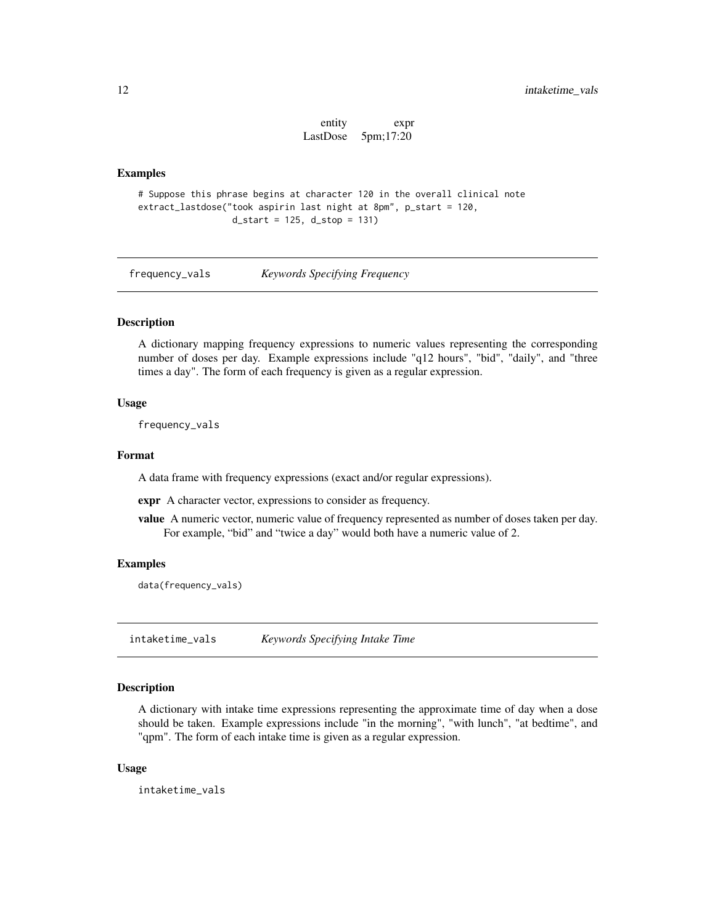entity expr LastDose 5pm;17:20

#### <span id="page-11-0"></span>Examples

```
# Suppose this phrase begins at character 120 in the overall clinical note
extract_lastdose("took aspirin last night at 8pm", p_start = 120,
                    d_{\text{1}} d_start = 125, d_{\text{1}} d_stop = 131)
```
frequency\_vals *Keywords Specifying Frequency*

#### Description

A dictionary mapping frequency expressions to numeric values representing the corresponding number of doses per day. Example expressions include "q12 hours", "bid", "daily", and "three times a day". The form of each frequency is given as a regular expression.

#### Usage

frequency\_vals

#### Format

A data frame with frequency expressions (exact and/or regular expressions).

expr A character vector, expressions to consider as frequency.

value A numeric vector, numeric value of frequency represented as number of doses taken per day. For example, "bid" and "twice a day" would both have a numeric value of 2.

#### Examples

data(frequency\_vals)

intaketime\_vals *Keywords Specifying Intake Time*

#### Description

A dictionary with intake time expressions representing the approximate time of day when a dose should be taken. Example expressions include "in the morning", "with lunch", "at bedtime", and "qpm". The form of each intake time is given as a regular expression.

#### Usage

intaketime\_vals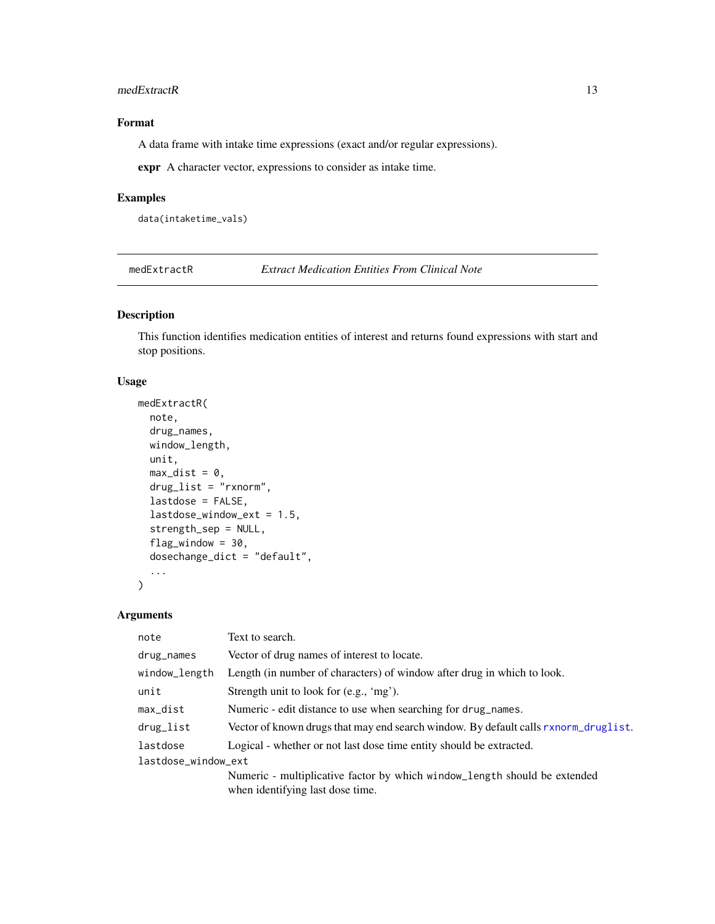#### <span id="page-12-0"></span>medExtractR 13

# Format

A data frame with intake time expressions (exact and/or regular expressions).

expr A character vector, expressions to consider as intake time.

#### Examples

data(intaketime\_vals)

<span id="page-12-1"></span>medExtractR *Extract Medication Entities From Clinical Note*

# Description

This function identifies medication entities of interest and returns found expressions with start and stop positions.

# Usage

```
medExtractR(
  note,
  drug_names,
 window_length,
  unit,
 max\_dist = 0,
  drug_list = "rxnorm",
  lastdose = FALSE,
  lastdose_window_ext = 1.5,
  strength_sep = NULL,
  flag_window = 30,
  dosechange_dict = "default",
  ...
\mathcal{L}
```
# Arguments

| note                | Text to search.                                                                     |  |
|---------------------|-------------------------------------------------------------------------------------|--|
| drug_names          | Vector of drug names of interest to locate.                                         |  |
| window_length       | Length (in number of characters) of window after drug in which to look.             |  |
| unit                | Strength unit to look for (e.g., 'mg').                                             |  |
| max_dist            | Numeric - edit distance to use when searching for drug_names.                       |  |
| drug_list           | Vector of known drugs that may end search window. By default calls rxnorm_druglist. |  |
| lastdose            | Logical - whether or not last dose time entity should be extracted.                 |  |
| lastdose_window_ext |                                                                                     |  |
|                     | Numeric - multiplicative factor by which window_length should be extended           |  |
|                     | when identifying last dose time.                                                    |  |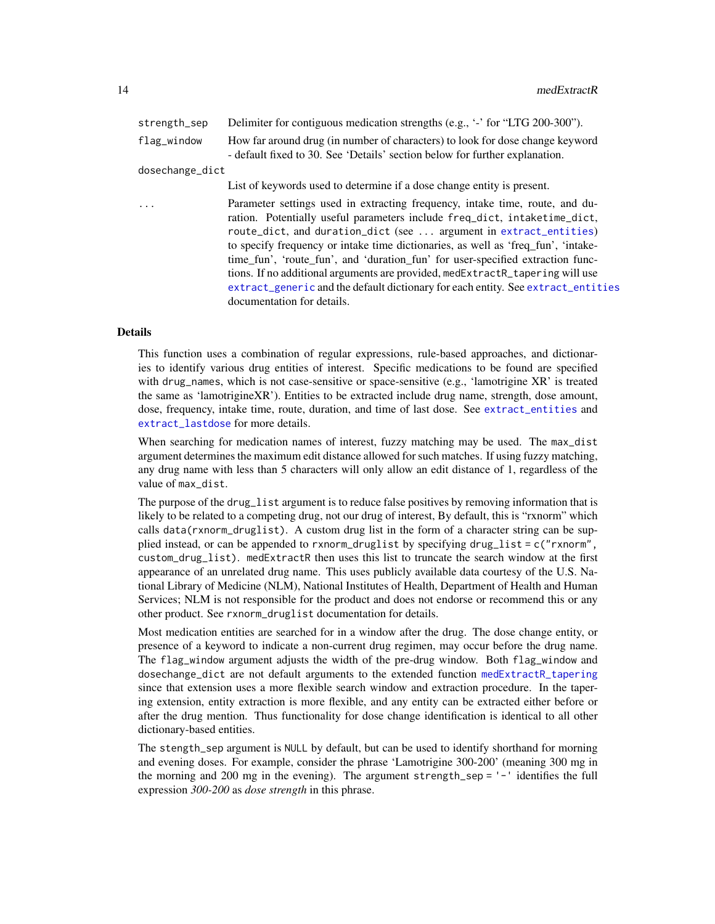<span id="page-13-0"></span>

| strength_sep    | Delimiter for contiguous medication strengths (e.g., '-' for "LTG 200-300").                                                                                                                                                                                                                                                                                                                                                                                                                                                                                                                             |
|-----------------|----------------------------------------------------------------------------------------------------------------------------------------------------------------------------------------------------------------------------------------------------------------------------------------------------------------------------------------------------------------------------------------------------------------------------------------------------------------------------------------------------------------------------------------------------------------------------------------------------------|
| flag_window     | How far around drug (in number of characters) to look for dose change keyword<br>- default fixed to 30. See 'Details' section below for further explanation.                                                                                                                                                                                                                                                                                                                                                                                                                                             |
| dosechange_dict |                                                                                                                                                                                                                                                                                                                                                                                                                                                                                                                                                                                                          |
|                 | List of keywords used to determine if a dose change entity is present.                                                                                                                                                                                                                                                                                                                                                                                                                                                                                                                                   |
| $\ddots$        | Parameter settings used in extracting frequency, intake time, route, and du-<br>ration. Potentially useful parameters include freq_dict, intaketime_dict,<br>route_dict, and duration_dict (see  argument in extract_entities)<br>to specify frequency or intake time dictionaries, as well as 'freq_fun', 'intake-<br>time_fun', 'route_fun', and 'duration_fun' for user-specified extraction func-<br>tions. If no additional arguments are provided, medExtractR_tapering will use<br>extract_generic and the default dictionary for each entity. See extract_entities<br>documentation for details. |

# Details

This function uses a combination of regular expressions, rule-based approaches, and dictionaries to identify various drug entities of interest. Specific medications to be found are specified with drug\_names, which is not case-sensitive or space-sensitive (e.g., 'lamotrigine XR' is treated the same as 'lamotrigineXR'). Entities to be extracted include drug name, strength, dose amount, dose, frequency, intake time, route, duration, and time of last dose. See [extract\\_entities](#page-4-1) and extract lastdose for more details.

When searching for medication names of interest, fuzzy matching may be used. The max\_dist argument determines the maximum edit distance allowed for such matches. If using fuzzy matching, any drug name with less than 5 characters will only allow an edit distance of 1, regardless of the value of max\_dist.

The purpose of the drug\_list argument is to reduce false positives by removing information that is likely to be related to a competing drug, not our drug of interest, By default, this is "rxnorm" which calls data(rxnorm\_druglist). A custom drug list in the form of a character string can be supplied instead, or can be appended to rxnorm\_druglist by specifying drug\_list = c("rxnorm", custom\_drug\_list). medExtractR then uses this list to truncate the search window at the first appearance of an unrelated drug name. This uses publicly available data courtesy of the U.S. National Library of Medicine (NLM), National Institutes of Health, Department of Health and Human Services; NLM is not responsible for the product and does not endorse or recommend this or any other product. See rxnorm\_druglist documentation for details.

Most medication entities are searched for in a window after the drug. The dose change entity, or presence of a keyword to indicate a non-current drug regimen, may occur before the drug name. The flag\_window argument adjusts the width of the pre-drug window. Both flag\_window and dosechange\_dict are not default arguments to the extended function [medExtractR\\_tapering](#page-15-1) since that extension uses a more flexible search window and extraction procedure. In the tapering extension, entity extraction is more flexible, and any entity can be extracted either before or after the drug mention. Thus functionality for dose change identification is identical to all other dictionary-based entities.

The stength\_sep argument is NULL by default, but can be used to identify shorthand for morning and evening doses. For example, consider the phrase 'Lamotrigine 300-200' (meaning 300 mg in the morning and 200 mg in the evening). The argument strength\_sep = '-' identifies the full expression *300-200* as *dose strength* in this phrase.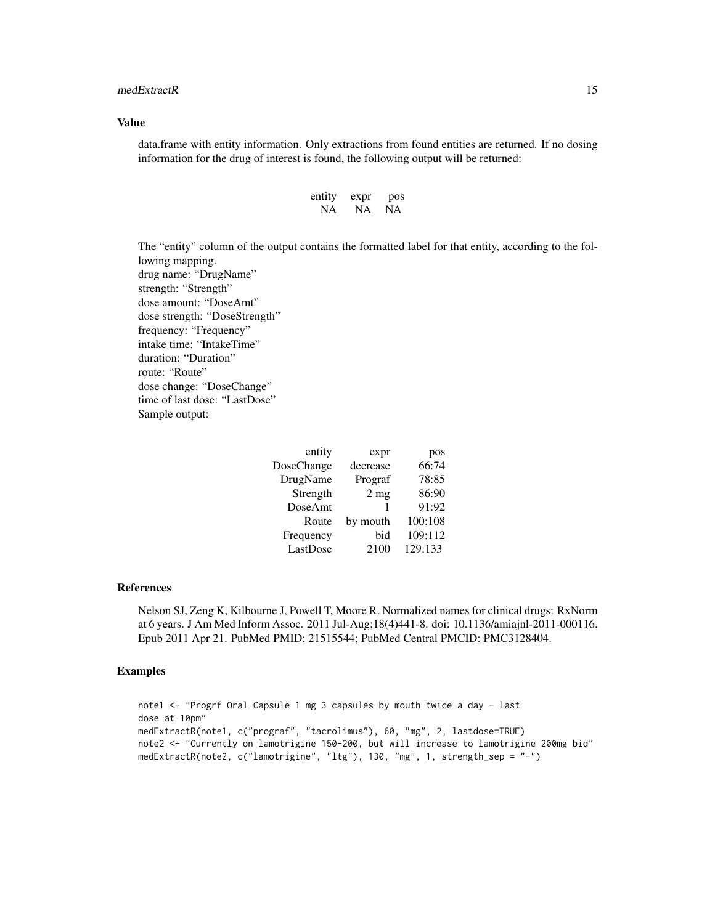#### medExtractR 15

#### Value

data.frame with entity information. Only extractions from found entities are returned. If no dosing information for the drug of interest is found, the following output will be returned:

| entity | expr | pos |
|--------|------|-----|
| NA.    | NA   | NA  |

The "entity" column of the output contains the formatted label for that entity, according to the following mapping. drug name: "DrugName" strength: "Strength" dose amount: "DoseAmt" dose strength: "DoseStrength" frequency: "Frequency" intake time: "IntakeTime" duration: "Duration" route: "Route" dose change: "DoseChange" time of last dose: "LastDose"

Sample output:

| entity     | expr            | pos     |
|------------|-----------------|---------|
| DoseChange | decrease        | 66:74   |
| DrugName   | Prograf         | 78:85   |
| Strength   | 2 <sub>mg</sub> | 86:90   |
| DoseAmt    |                 | 91:92   |
| Route      | by mouth        | 100:108 |
| Frequency  | bid             | 109:112 |
| LastDose   | 2100            | 129:133 |
|            |                 |         |

#### References

Nelson SJ, Zeng K, Kilbourne J, Powell T, Moore R. Normalized names for clinical drugs: RxNorm at 6 years. J Am Med Inform Assoc. 2011 Jul-Aug;18(4)441-8. doi: 10.1136/amiajnl-2011-000116. Epub 2011 Apr 21. PubMed PMID: 21515544; PubMed Central PMCID: PMC3128404.

# Examples

```
note1 <- "Progrf Oral Capsule 1 mg 3 capsules by mouth twice a day - last
dose at 10pm"
medExtractR(note1, c("prograf", "tacrolimus"), 60, "mg", 2, lastdose=TRUE)
note2 <- "Currently on lamotrigine 150-200, but will increase to lamotrigine 200mg bid"
medExtractR(note2, c("lamotrigine", "ltg"), 130, "mg", 1, strength_sep = "-")
```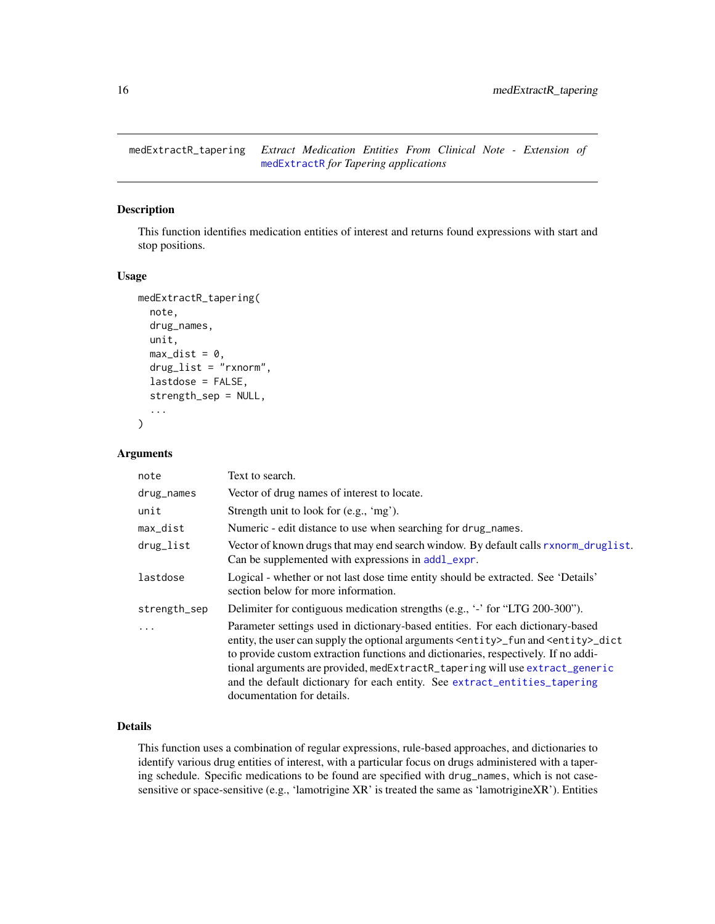<span id="page-15-1"></span><span id="page-15-0"></span>medExtractR\_tapering *Extract Medication Entities From Clinical Note - Extension of* [medExtractR](#page-12-1) *for Tapering applications*

### Description

This function identifies medication entities of interest and returns found expressions with start and stop positions.

#### Usage

```
medExtractR_tapering(
  note,
  drug_names,
  unit,
  max\_dist = 0,
  drug_list = "rxnorm",
  lastdose = FALSE,
  strength_sep = NULL,
  ...
\mathcal{L}
```
#### Arguments

| note         | Text to search.                                                                                                                                                                                                                                                                                                                                                                                                                                                             |
|--------------|-----------------------------------------------------------------------------------------------------------------------------------------------------------------------------------------------------------------------------------------------------------------------------------------------------------------------------------------------------------------------------------------------------------------------------------------------------------------------------|
| drug_names   | Vector of drug names of interest to locate.                                                                                                                                                                                                                                                                                                                                                                                                                                 |
| unit         | Strength unit to look for (e.g., 'mg').                                                                                                                                                                                                                                                                                                                                                                                                                                     |
| max_dist     | Numeric - edit distance to use when searching for drug_names.                                                                                                                                                                                                                                                                                                                                                                                                               |
| drug_list    | Vector of known drugs that may end search window. By default calls rxnorm_druglist.<br>Can be supplemented with expressions in addl_expr.                                                                                                                                                                                                                                                                                                                                   |
| lastdose     | Logical - whether or not last dose time entity should be extracted. See 'Details'<br>section below for more information.                                                                                                                                                                                                                                                                                                                                                    |
| strength_sep | Delimiter for contiguous medication strengths (e.g., '-' for "LTG 200-300").                                                                                                                                                                                                                                                                                                                                                                                                |
| $\ddots$     | Parameter settings used in dictionary-based entities. For each dictionary-based<br>entity, the user can supply the optional arguments <entity>_fun and <entity>_dict<br/>to provide custom extraction functions and dictionaries, respectively. If no addi-<br/>tional arguments are provided, medExtractR_tapering will use extract_generic<br/>and the default dictionary for each entity. See extract_entities_tapering<br/>documentation for details.</entity></entity> |

# Details

This function uses a combination of regular expressions, rule-based approaches, and dictionaries to identify various drug entities of interest, with a particular focus on drugs administered with a tapering schedule. Specific medications to be found are specified with drug\_names, which is not casesensitive or space-sensitive (e.g., 'lamotrigine XR' is treated the same as 'lamotrigineXR'). Entities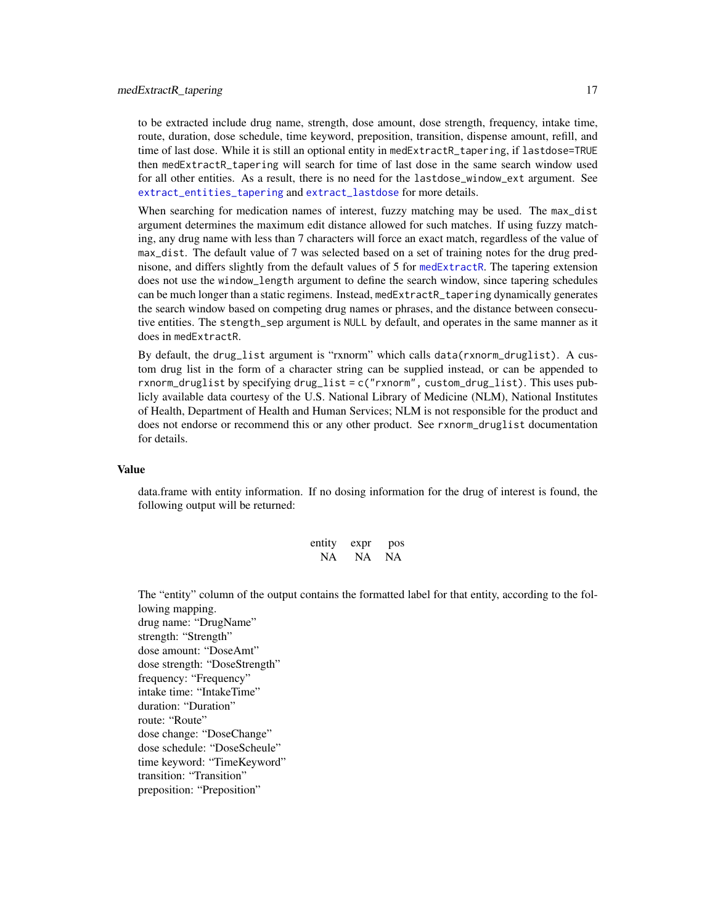#### <span id="page-16-0"></span>medExtractR\_tapering 17

to be extracted include drug name, strength, dose amount, dose strength, frequency, intake time, route, duration, dose schedule, time keyword, preposition, transition, dispense amount, refill, and time of last dose. While it is still an optional entity in medExtractR\_tapering, if lastdose=TRUE then medExtractR\_tapering will search for time of last dose in the same search window used for all other entities. As a result, there is no need for the lastdose\_window\_ext argument. See [extract\\_entities\\_tapering](#page-6-1) and [extract\\_lastdose](#page-10-1) for more details.

When searching for medication names of interest, fuzzy matching may be used. The max\_dist argument determines the maximum edit distance allowed for such matches. If using fuzzy matching, any drug name with less than 7 characters will force an exact match, regardless of the value of max\_dist. The default value of 7 was selected based on a set of training notes for the drug prednisone, and differs slightly from the default values of 5 for [medExtractR](#page-12-1). The tapering extension does not use the window\_length argument to define the search window, since tapering schedules can be much longer than a static regimens. Instead, medExtractR\_tapering dynamically generates the search window based on competing drug names or phrases, and the distance between consecutive entities. The stength\_sep argument is NULL by default, and operates in the same manner as it does in medExtractR.

By default, the drug\_list argument is "rxnorm" which calls data(rxnorm\_druglist). A custom drug list in the form of a character string can be supplied instead, or can be appended to rxnorm\_druglist by specifying drug\_list = c("rxnorm", custom\_drug\_list). This uses publicly available data courtesy of the U.S. National Library of Medicine (NLM), National Institutes of Health, Department of Health and Human Services; NLM is not responsible for the product and does not endorse or recommend this or any other product. See rxnorm\_druglist documentation for details.

# Value

data.frame with entity information. If no dosing information for the drug of interest is found, the following output will be returned:

| entity | expr | pos |
|--------|------|-----|
| NA.    | NA   | NA  |

The "entity" column of the output contains the formatted label for that entity, according to the following mapping. drug name: "DrugName"

strength: "Strength" dose amount: "DoseAmt" dose strength: "DoseStrength" frequency: "Frequency" intake time: "IntakeTime" duration: "Duration" route: "Route" dose change: "DoseChange" dose schedule: "DoseScheule" time keyword: "TimeKeyword" transition: "Transition" preposition: "Preposition"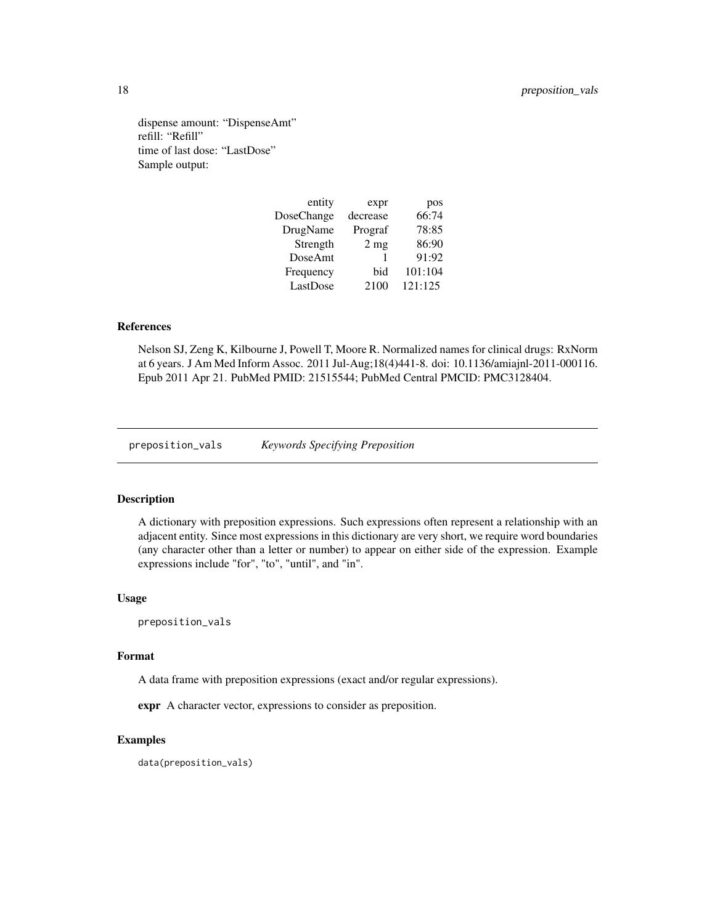<span id="page-17-0"></span>dispense amount: "DispenseAmt" refill: "Refill" time of last dose: "LastDose" Sample output:

| entity     | expr           | pos     |
|------------|----------------|---------|
| DoseChange | decrease       | 66:74   |
| DrugName   | Prograf        | 78:85   |
| Strength   | $2 \text{ mg}$ | 86:90   |
| DoseAmt    |                | 91:92   |
| Frequency  | bid            | 101:104 |
| LastDose   | 2100           | 121:125 |
|            |                |         |

# References

Nelson SJ, Zeng K, Kilbourne J, Powell T, Moore R. Normalized names for clinical drugs: RxNorm at 6 years. J Am Med Inform Assoc. 2011 Jul-Aug;18(4)441-8. doi: 10.1136/amiajnl-2011-000116. Epub 2011 Apr 21. PubMed PMID: 21515544; PubMed Central PMCID: PMC3128404.

preposition\_vals *Keywords Specifying Preposition*

#### Description

A dictionary with preposition expressions. Such expressions often represent a relationship with an adjacent entity. Since most expressions in this dictionary are very short, we require word boundaries (any character other than a letter or number) to appear on either side of the expression. Example expressions include "for", "to", "until", and "in".

# Usage

preposition\_vals

#### Format

A data frame with preposition expressions (exact and/or regular expressions).

expr A character vector, expressions to consider as preposition.

# Examples

data(preposition\_vals)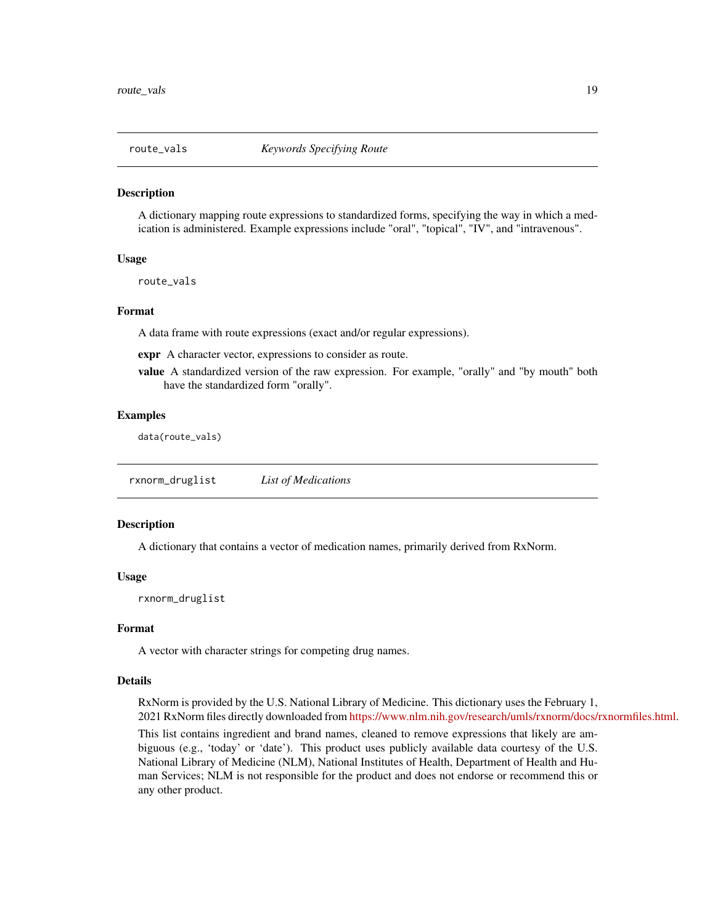<span id="page-18-0"></span>

#### Description

A dictionary mapping route expressions to standardized forms, specifying the way in which a medication is administered. Example expressions include "oral", "topical", "IV", and "intravenous".

#### Usage

route\_vals

#### Format

A data frame with route expressions (exact and/or regular expressions).

expr A character vector, expressions to consider as route.

value A standardized version of the raw expression. For example, "orally" and "by mouth" both have the standardized form "orally".

#### Examples

data(route\_vals)

<span id="page-18-1"></span>rxnorm\_druglist *List of Medications*

#### **Description**

A dictionary that contains a vector of medication names, primarily derived from RxNorm.

## Usage

rxnorm\_druglist

# Format

A vector with character strings for competing drug names.

#### Details

RxNorm is provided by the U.S. National Library of Medicine. This dictionary uses the February 1, 2021 RxNorm files directly downloaded from [https://www.nlm.nih.gov/research/umls/rxnorm/docs/rxnormfiles.html.](https://www.nlm.nih.gov/research/umls/rxnorm/docs/rxnormfiles.html)

This list contains ingredient and brand names, cleaned to remove expressions that likely are ambiguous (e.g., 'today' or 'date'). This product uses publicly available data courtesy of the U.S. National Library of Medicine (NLM), National Institutes of Health, Department of Health and Human Services; NLM is not responsible for the product and does not endorse or recommend this or any other product.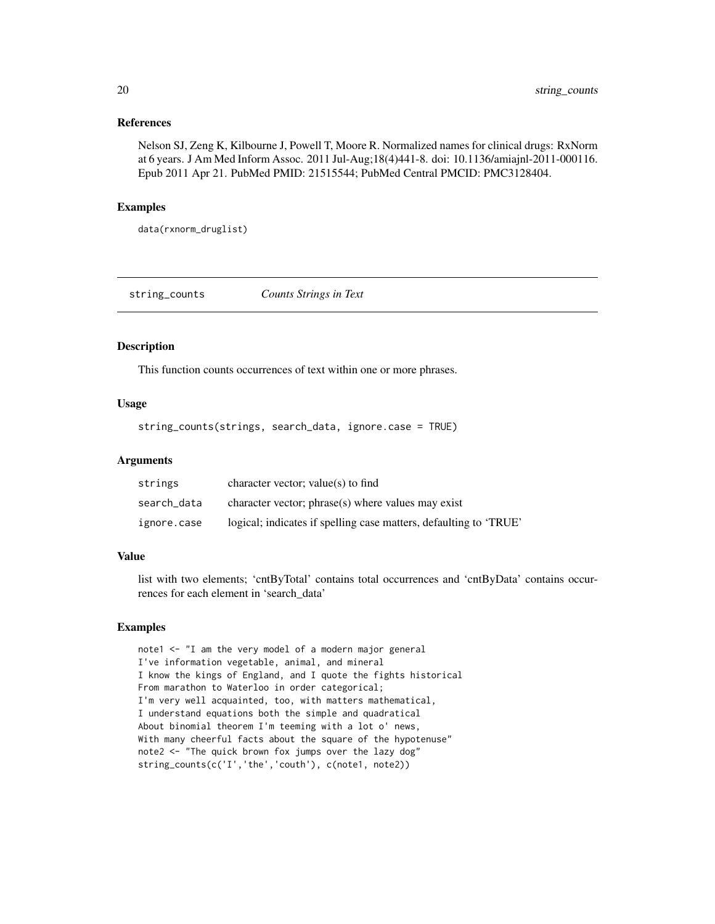# References

Nelson SJ, Zeng K, Kilbourne J, Powell T, Moore R. Normalized names for clinical drugs: RxNorm at 6 years. J Am Med Inform Assoc. 2011 Jul-Aug;18(4)441-8. doi: 10.1136/amiajnl-2011-000116. Epub 2011 Apr 21. PubMed PMID: 21515544; PubMed Central PMCID: PMC3128404.

# Examples

data(rxnorm\_druglist)

string\_counts *Counts Strings in Text*

#### Description

This function counts occurrences of text within one or more phrases.

# Usage

string\_counts(strings, search\_data, ignore.case = TRUE)

#### **Arguments**

| strings     | character vector; value(s) to find                                |
|-------------|-------------------------------------------------------------------|
| search_data | character vector; phrase(s) where values may exist                |
| ignore.case | logical; indicates if spelling case matters, defaulting to 'TRUE' |

#### Value

list with two elements; 'cntByTotal' contains total occurrences and 'cntByData' contains occurrences for each element in 'search\_data'

#### Examples

```
note1 <- "I am the very model of a modern major general
I've information vegetable, animal, and mineral
I know the kings of England, and I quote the fights historical
From marathon to Waterloo in order categorical;
I'm very well acquainted, too, with matters mathematical,
I understand equations both the simple and quadratical
About binomial theorem I'm teeming with a lot o' news,
With many cheerful facts about the square of the hypotenuse"
note2 <- "The quick brown fox jumps over the lazy dog"
string_counts(c('I','the','couth'), c(note1, note2))
```
<span id="page-19-0"></span>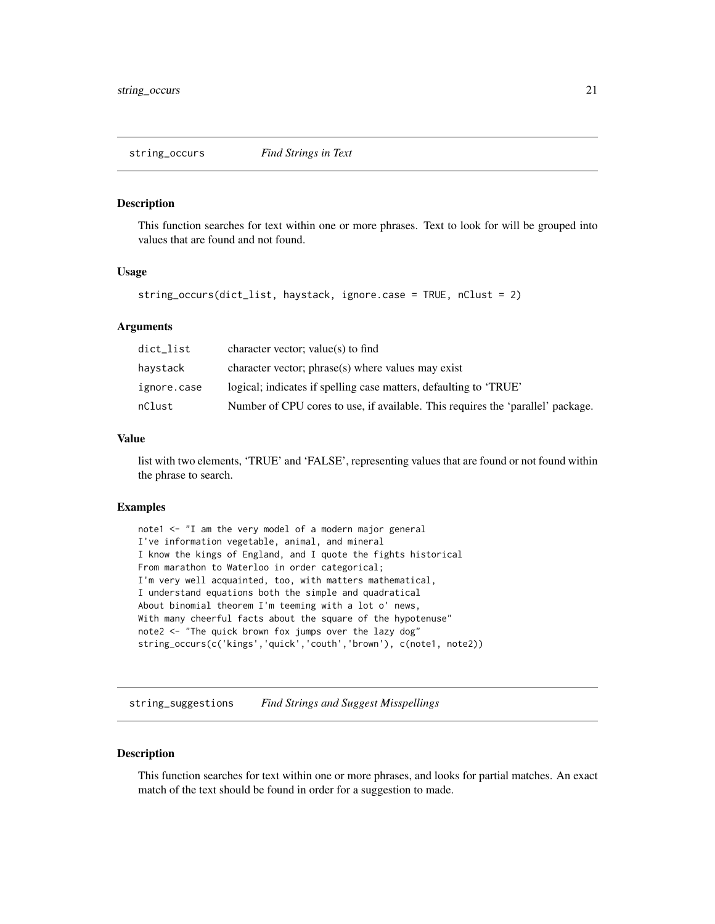<span id="page-20-0"></span>string\_occurs *Find Strings in Text*

#### Description

This function searches for text within one or more phrases. Text to look for will be grouped into values that are found and not found.

#### Usage

```
string_occurs(dict_list, haystack, ignore.case = TRUE, nClust = 2)
```
# Arguments

| dict_list   | character vector; value(s) to find                                              |
|-------------|---------------------------------------------------------------------------------|
| havstack    | character vector; phrase(s) where values may exist                              |
| ignore.case | logical; indicates if spelling case matters, defaulting to 'TRUE'               |
| nClust      | Number of CPU cores to use, if available. This requires the 'parallel' package. |

# Value

list with two elements, 'TRUE' and 'FALSE', representing values that are found or not found within the phrase to search.

#### Examples

```
note1 <- "I am the very model of a modern major general
I've information vegetable, animal, and mineral
I know the kings of England, and I quote the fights historical
From marathon to Waterloo in order categorical;
I'm very well acquainted, too, with matters mathematical,
I understand equations both the simple and quadratical
About binomial theorem I'm teeming with a lot o' news,
With many cheerful facts about the square of the hypotenuse"
note2 <- "The quick brown fox jumps over the lazy dog"
string_occurs(c('kings','quick','couth','brown'), c(note1, note2))
```
string\_suggestions *Find Strings and Suggest Misspellings*

#### Description

This function searches for text within one or more phrases, and looks for partial matches. An exact match of the text should be found in order for a suggestion to made.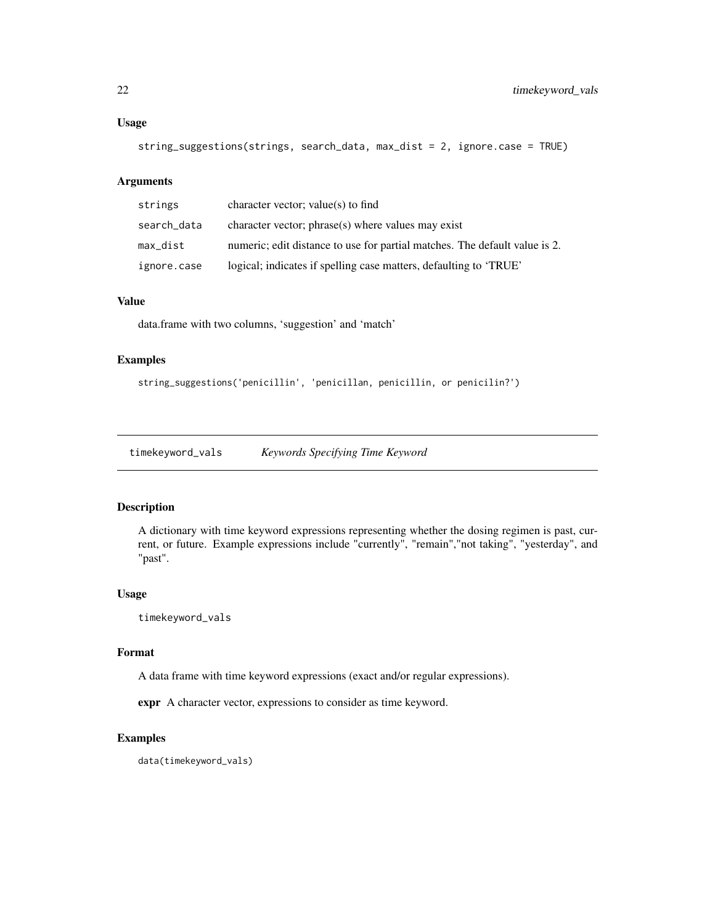#### <span id="page-21-0"></span>Usage

```
string_suggestions(strings, search_data, max_dist = 2, ignore.case = TRUE)
```
#### Arguments

| strings     | character vector; value(s) to find                                         |
|-------------|----------------------------------------------------------------------------|
| search_data | character vector; phrase(s) where values may exist                         |
| max dist    | numeric; edit distance to use for partial matches. The default value is 2. |
| ignore.case | logical; indicates if spelling case matters, defaulting to 'TRUE'          |

# Value

data.frame with two columns, 'suggestion' and 'match'

# Examples

string\_suggestions('penicillin', 'penicillan, penicillin, or penicilin?')

timekeyword\_vals *Keywords Specifying Time Keyword*

# Description

A dictionary with time keyword expressions representing whether the dosing regimen is past, current, or future. Example expressions include "currently", "remain","not taking", "yesterday", and "past".

#### Usage

timekeyword\_vals

#### Format

A data frame with time keyword expressions (exact and/or regular expressions).

expr A character vector, expressions to consider as time keyword.

# Examples

data(timekeyword\_vals)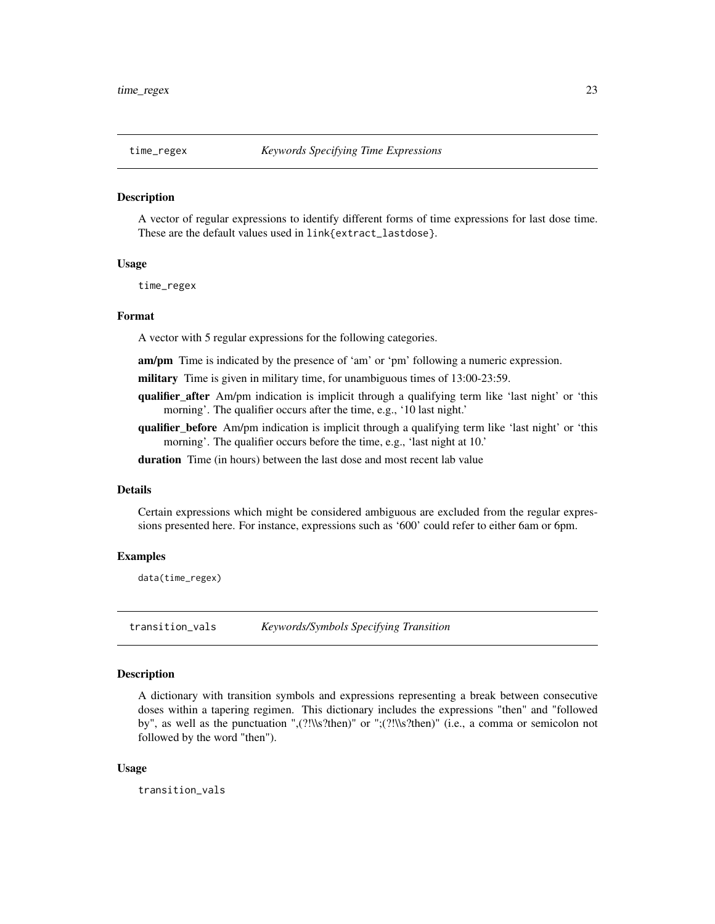<span id="page-22-1"></span><span id="page-22-0"></span>

#### **Description**

A vector of regular expressions to identify different forms of time expressions for last dose time. These are the default values used in link{extract\_lastdose}.

#### Usage

time\_regex

#### Format

A vector with 5 regular expressions for the following categories.

am/pm Time is indicated by the presence of 'am' or 'pm' following a numeric expression.

- military Time is given in military time, for unambiguous times of 13:00-23:59.
- qualifier\_after Am/pm indication is implicit through a qualifying term like 'last night' or 'this morning'. The qualifier occurs after the time, e.g., '10 last night.'
- qualifier before Am/pm indication is implicit through a qualifying term like 'last night' or 'this morning'. The qualifier occurs before the time, e.g., 'last night at 10.'

duration Time (in hours) between the last dose and most recent lab value

# Details

Certain expressions which might be considered ambiguous are excluded from the regular expressions presented here. For instance, expressions such as '600' could refer to either 6am or 6pm.

#### Examples

data(time\_regex)

transition\_vals *Keywords/Symbols Specifying Transition*

# Description

A dictionary with transition symbols and expressions representing a break between consecutive doses within a tapering regimen. This dictionary includes the expressions "then" and "followed by", as well as the punctuation ",(?!\\s?then)" or ";(?!\\s?then)" (i.e., a comma or semicolon not followed by the word "then").

#### Usage

transition\_vals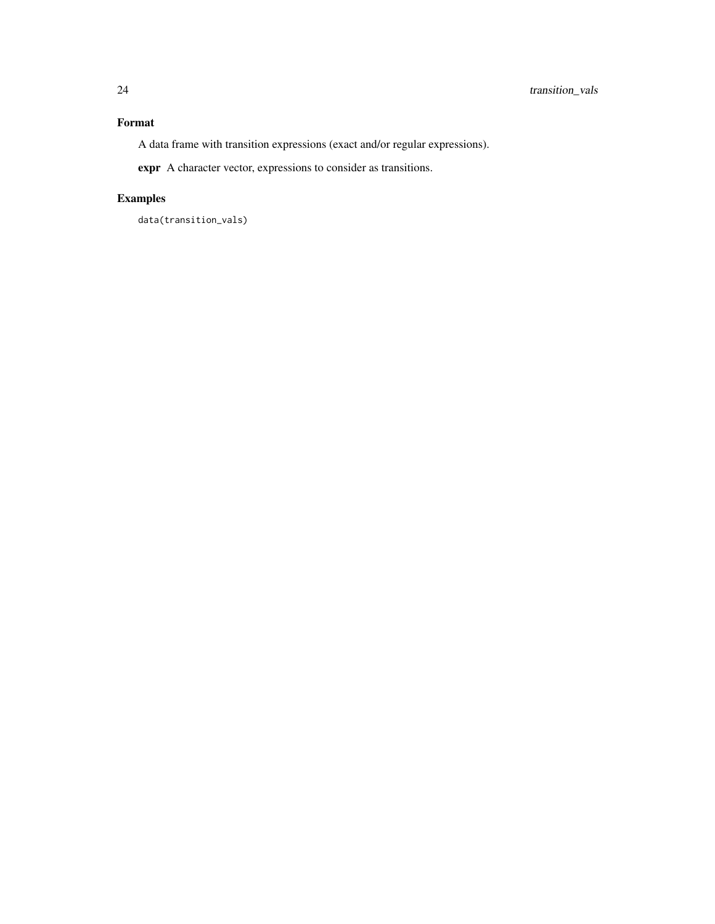# Format

A data frame with transition expressions (exact and/or regular expressions).

expr A character vector, expressions to consider as transitions.

# Examples

data(transition\_vals)